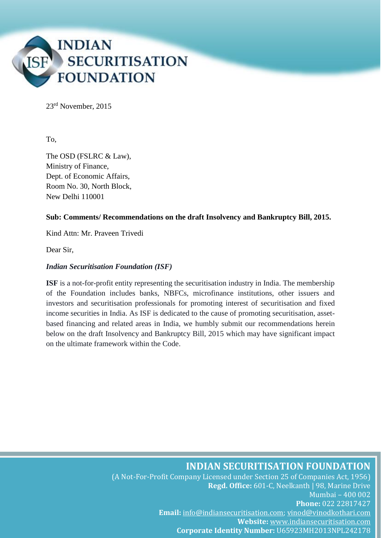

23rd November, 2015

To,

The OSD (FSLRC & Law), Ministry of Finance, Dept. of Economic Affairs, Room No. 30, North Block, New Delhi 110001

#### **Sub: Comments/ Recommendations on the draft Insolvency and Bankruptcy Bill, 2015.**

Kind Attn: Mr. Praveen Trivedi

Dear Sir,

#### *Indian Securitisation Foundation (ISF)*

**ISF** is a not-for-profit entity representing the securitisation industry in India. The membership of the Foundation includes banks, NBFCs, microfinance institutions, other issuers and investors and securitisation professionals for promoting interest of securitisation and fixed income securities in India. As ISF is dedicated to the cause of promoting securitisation, assetbased financing and related areas in India, we humbly submit our recommendations herein below on the draft Insolvency and Bankruptcy Bill, 2015 which may have significant impact on the ultimate framework within the Code.

#### **INDIAN SECURITISATION FOUNDATION**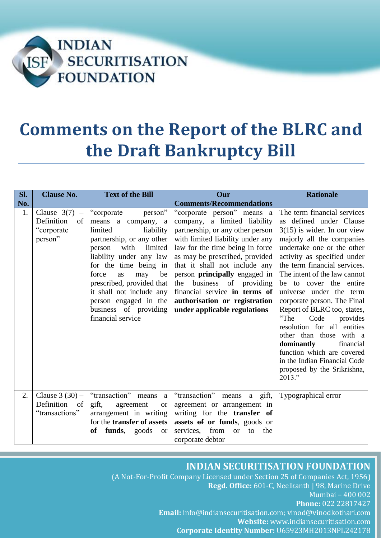

# **Comments on the Report of the BLRC and the Draft Bankruptcy Bill**

| SI. | <b>Clause No.</b>                                            | <b>Text of the Bill</b>                                                                                                                                                                                                                                                                                                                        | Our                                                                                                                                                                                                                                                                                                                                                                                                                | <b>Rationale</b>                                                                                                                                                                                                                                                                                                                                                                                                                                                                                                                                                                             |
|-----|--------------------------------------------------------------|------------------------------------------------------------------------------------------------------------------------------------------------------------------------------------------------------------------------------------------------------------------------------------------------------------------------------------------------|--------------------------------------------------------------------------------------------------------------------------------------------------------------------------------------------------------------------------------------------------------------------------------------------------------------------------------------------------------------------------------------------------------------------|----------------------------------------------------------------------------------------------------------------------------------------------------------------------------------------------------------------------------------------------------------------------------------------------------------------------------------------------------------------------------------------------------------------------------------------------------------------------------------------------------------------------------------------------------------------------------------------------|
| No. |                                                              |                                                                                                                                                                                                                                                                                                                                                | <b>Comments/Recommendations</b>                                                                                                                                                                                                                                                                                                                                                                                    |                                                                                                                                                                                                                                                                                                                                                                                                                                                                                                                                                                                              |
| 1.  | Clause $3(7)$ –<br>Definition<br>of<br>"corporate<br>person" | person"<br>"corporate"<br>means a company, a<br>limited<br>liability<br>partnership, or any other<br>with<br>limited<br>person<br>liability under any law<br>for the time being in<br>force<br>be<br>as<br>may<br>prescribed, provided that<br>it shall not include any<br>person engaged in the<br>business of providing<br>financial service | "corporate person" means a<br>company, a limited liability<br>partnership, or any other person<br>with limited liability under any<br>law for the time being in force<br>as may be prescribed, provided<br>that it shall not include any<br>person <b>principally</b> engaged in<br>business of providing<br>the<br>financial service in terms of<br>authorisation or registration<br>under applicable regulations | The term financial services<br>as defined under Clause<br>$3(15)$ is wider. In our view<br>majorly all the companies<br>undertake one or the other<br>activity as specified under<br>the term financial services.<br>The intent of the law cannot<br>be to cover the entire<br>universe under the term<br>corporate person. The Final<br>Report of BLRC too, states,<br>"The<br>Code<br>provides<br>resolution for all entities<br>other than those with a<br>dominantly<br>financial<br>function which are covered<br>in the Indian Financial Code<br>proposed by the Srikrishna,<br>2013." |
| 2.  | Clause $3(30)$ –<br>Definition<br>of<br>"transactions"       | "transaction" means<br>a<br>gift,<br>agreement<br><b>or</b><br>arrangement in writing<br>for the <b>transfer of assets</b><br>funds,<br><b>of</b><br>goods<br><b>or</b>                                                                                                                                                                        | "transaction"<br>means a gift,<br>agreement or arrangement in<br>writing for the transfer of<br>assets of or funds, goods or<br>from<br>services.<br>the<br>to<br><b>or</b><br>corporate debtor                                                                                                                                                                                                                    | Typographical error                                                                                                                                                                                                                                                                                                                                                                                                                                                                                                                                                                          |

## **INDIAN SECURITISATION FOUNDATION**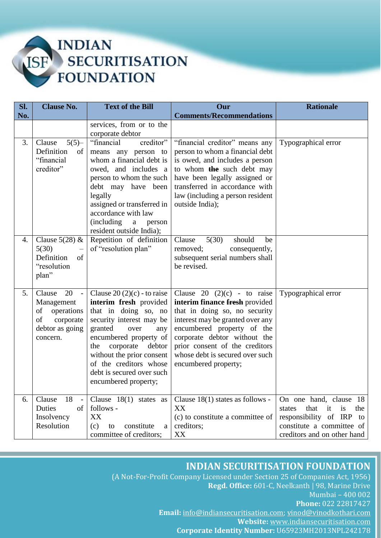

| SI. | <b>Clause No.</b>                                                                                              | <b>Text of the Bill</b>                                                                                                                                                                                                                                                                                  | Our                                                                                                                                                                                                                                                                                             | <b>Rationale</b>                                                                                                                                       |
|-----|----------------------------------------------------------------------------------------------------------------|----------------------------------------------------------------------------------------------------------------------------------------------------------------------------------------------------------------------------------------------------------------------------------------------------------|-------------------------------------------------------------------------------------------------------------------------------------------------------------------------------------------------------------------------------------------------------------------------------------------------|--------------------------------------------------------------------------------------------------------------------------------------------------------|
| No. |                                                                                                                |                                                                                                                                                                                                                                                                                                          | <b>Comments/Recommendations</b>                                                                                                                                                                                                                                                                 |                                                                                                                                                        |
|     |                                                                                                                | services, from or to the<br>corporate debtor                                                                                                                                                                                                                                                             |                                                                                                                                                                                                                                                                                                 |                                                                                                                                                        |
| 3.  | $5(5)$ -<br>Clause<br>Definition<br>of<br>"financial<br>creditor"                                              | "financial<br>creditor"<br>means any person to<br>whom a financial debt is<br>owed, and includes a<br>person to whom the such<br>debt may have been<br>legally<br>assigned or transferred in<br>accordance with law<br>(including)<br>$\mathbf{a}$<br>person<br>resident outside India);                 | "financial creditor" means any<br>person to whom a financial debt<br>is owed, and includes a person<br>to whom the such debt may<br>have been legally assigned or<br>transferred in accordance with<br>law (including a person resident<br>outside India);                                      | Typographical error                                                                                                                                    |
| 4.  | Clause $5(28)$ &<br>5(30)<br>Definition<br>of<br>"resolution"<br>plan"                                         | Repetition of definition<br>of "resolution plan"                                                                                                                                                                                                                                                         | 5(30)<br>Clause<br>should<br>be<br>removed;<br>consequently,<br>subsequent serial numbers shall<br>be revised.                                                                                                                                                                                  |                                                                                                                                                        |
| 5.  | 20<br>Clause<br>$\sim$ $-$<br>Management<br>operations<br>of<br>of<br>corporate<br>debtor as going<br>concern. | Clause $20(2)(c)$ - to raise<br>interim fresh provided<br>that in doing so, no<br>security interest may be<br>granted<br>over<br>any<br>encumbered property of<br>corporate<br>the<br>debtor<br>without the prior consent<br>of the creditors whose<br>debt is secured over such<br>encumbered property; | Clause 20 $(2)(c)$ - to raise<br>interim finance fresh provided<br>that in doing so, no security<br>interest may be granted over any<br>encumbered property of the<br>corporate debtor without the<br>prior consent of the creditors<br>whose debt is secured over such<br>encumbered property; | Typographical error                                                                                                                                    |
| 6.  | $18 -$<br>Clause<br>Duties<br>of<br>Insolvency<br>Resolution                                                   | Clause $18(1)$ states as<br>follows -<br>XX<br>(c)<br>constitute<br>to<br>a<br>committee of creditors;                                                                                                                                                                                                   | Clause 18(1) states as follows -<br>XX<br>(c) to constitute a committee of<br>creditors;<br>XX                                                                                                                                                                                                  | On one hand, clause 18<br>that<br>it<br>is<br>the<br>states<br>responsibility of IRP<br>to<br>constitute a committee of<br>creditors and on other hand |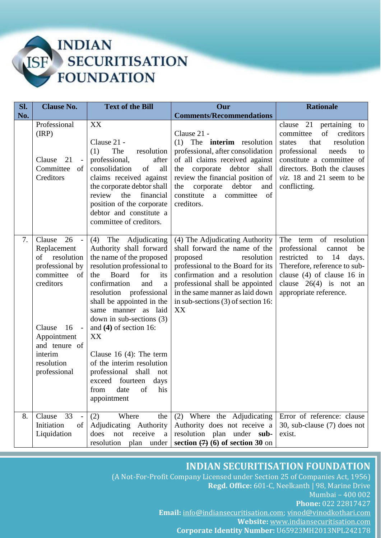

| SI. | <b>Clause No.</b>                                                                                                                                                                                             | <b>Text of the Bill</b>                                                                                                                                                                                                                                                                                                                                                                                                                                            | Our                                                                                                                                                                                                                                                                                  | <b>Rationale</b>                                                                                                                                                                                                                       |
|-----|---------------------------------------------------------------------------------------------------------------------------------------------------------------------------------------------------------------|--------------------------------------------------------------------------------------------------------------------------------------------------------------------------------------------------------------------------------------------------------------------------------------------------------------------------------------------------------------------------------------------------------------------------------------------------------------------|--------------------------------------------------------------------------------------------------------------------------------------------------------------------------------------------------------------------------------------------------------------------------------------|----------------------------------------------------------------------------------------------------------------------------------------------------------------------------------------------------------------------------------------|
| No. |                                                                                                                                                                                                               |                                                                                                                                                                                                                                                                                                                                                                                                                                                                    | <b>Comments/Recommendations</b>                                                                                                                                                                                                                                                      |                                                                                                                                                                                                                                        |
|     | Professional<br>(RP)<br>21<br>Clause<br>$\sim$<br>Committee<br>of<br>Creditors                                                                                                                                | XX<br>Clause 21 -<br>(1)<br>The<br>resolution<br>professional,<br>after<br>consolidation<br>of<br>all<br>claims received against<br>the corporate debtor shall<br>financial<br>review<br>the<br>position of the corporate<br>debtor and constitute a<br>committee of creditors.                                                                                                                                                                                    | Clause 21 -<br>$(1)$ The <b>interim</b> resolution<br>professional, after consolidation<br>of all claims received against<br>the corporate debtor<br>shall<br>review the financial position of<br>debtor<br>the<br>corporate<br>and<br>constitute<br>a committee<br>of<br>creditors. | clause 21 pertaining to<br>of<br>creditors<br>committee<br>resolution<br>states<br>that<br>professional<br>needs<br>to<br>constitute a committee of<br>directors. Both the clauses<br><i>viz.</i> 18 and 21 seem to be<br>conflicting. |
| 7.  | $26 -$<br>Clause<br>Replacement<br>resolution<br>of<br>professional by<br>committee<br>of<br>creditors<br>16<br>Clause<br>$\sim$ $-$<br>Appointment<br>and tenure of<br>interim<br>resolution<br>professional | (4) The Adjudicating<br>Authority shall forward<br>the name of the proposed<br>resolution professional to<br>Board<br>the<br>for<br>its<br>confirmation<br>and<br>a<br>resolution professional<br>shall be appointed in the<br>same manner as laid<br>down in sub-sections $(3)$<br>and $(4)$ of section 16:<br>XX<br>Clause 16 $(4)$ : The term<br>of the interim resolution<br>professional shall not<br>exceed fourteen days<br>from date of his<br>appointment | (4) The Adjudicating Authority<br>shall forward the name of the<br>proposed<br>resolution<br>professional to the Board for its<br>confirmation and a resolution<br>professional shall be appointed<br>in the same manner as laid down<br>in sub-sections $(3)$ of section 16:<br>XX  | The term of resolution<br>professional<br>cannot<br>be<br>restricted<br>14<br>to<br>days.<br>Therefore, reference to sub-<br>clause $(4)$ of clause 16 in<br>clause $26(4)$ is not an<br>appropriate reference.                        |
| 8.  | 33<br>Clause<br>$\sim$<br>Initiation<br>of<br>Liquidation                                                                                                                                                     | Where<br>(2)<br>the<br>Adjudicating Authority<br>not<br>does<br>receive<br>a<br>resolution<br>plan under                                                                                                                                                                                                                                                                                                                                                           | (2) Where the Adjudicating<br>Authority does not receive a<br>resolution plan under sub-<br>section $(7)(6)$ of section 30 on                                                                                                                                                        | Error of reference: clause<br>30, sub-clause (7) does not<br>exist.                                                                                                                                                                    |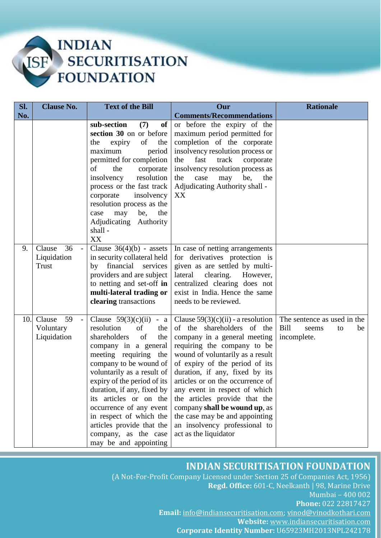

| SI. | <b>Clause No.</b>                                        | <b>Text of the Bill</b>                                                                                                                                                                                                                                                                                                                                                                                                       | Our                                                                                                                                                                                                                                                                                                                                                                                                                                                                          | <b>Rationale</b>                                                        |
|-----|----------------------------------------------------------|-------------------------------------------------------------------------------------------------------------------------------------------------------------------------------------------------------------------------------------------------------------------------------------------------------------------------------------------------------------------------------------------------------------------------------|------------------------------------------------------------------------------------------------------------------------------------------------------------------------------------------------------------------------------------------------------------------------------------------------------------------------------------------------------------------------------------------------------------------------------------------------------------------------------|-------------------------------------------------------------------------|
| No. |                                                          |                                                                                                                                                                                                                                                                                                                                                                                                                               | <b>Comments/Recommendations</b>                                                                                                                                                                                                                                                                                                                                                                                                                                              |                                                                         |
|     |                                                          | sub-section<br>(7)<br>of<br>section 30 on or before<br>of<br>expiry<br>the<br>the<br>maximum<br>period<br>permitted for completion<br>of<br>the<br>corporate<br>resolution<br>insolvency<br>process or the fast track<br>corporate<br>insolvency<br>resolution process as the<br>may<br>be,<br>the<br>case<br>Adjudicating<br>Authority<br>shall -<br>XX                                                                      | or before the expiry of the<br>maximum period permitted for<br>completion of the corporate<br>insolvency resolution process or<br>fast<br>the<br>track<br>corporate<br>insolvency resolution process as<br>be,<br>the<br>case<br>may<br>the<br>Adjudicating Authority shall -<br>XX                                                                                                                                                                                          |                                                                         |
| 9.  | 36<br>Clause<br>$\blacksquare$<br>Liquidation<br>Trust   | Clause $36(4)(b)$ - assets<br>in security collateral held<br>by financial services<br>providers and are subject<br>to netting and set-off in<br>multi-lateral trading or<br>clearing transactions                                                                                                                                                                                                                             | In case of netting arrangements<br>for derivatives protection is<br>given as are settled by multi-<br>clearing.<br>lateral<br>However,<br>centralized clearing does not<br>exist in India. Hence the same<br>needs to be reviewed.                                                                                                                                                                                                                                           |                                                                         |
| 10. | 59<br>Clause<br>$\mathbb{L}$<br>Voluntary<br>Liquidation | Clause $59(3)(c)(ii)$<br>$- a$<br>resolution<br>of<br>the<br>shareholders<br>of<br>the<br>company in a general<br>meeting requiring<br>the<br>company to be wound of<br>voluntarily as a result of<br>expiry of the period of its<br>duration, if any, fixed by<br>its articles or on the<br>occurrence of any event<br>in respect of which the<br>articles provide that the<br>company, as the case<br>may be and appointing | Clause $59(3)(c)(ii)$ - a resolution<br>of the shareholders of the<br>company in a general meeting<br>requiring the company to be<br>wound of voluntarily as a result<br>of expiry of the period of its<br>duration, if any, fixed by its<br>articles or on the occurrence of<br>any event in respect of which<br>the articles provide that the<br>company shall be wound up, as<br>the case may be and appointing<br>an insolvency professional to<br>act as the liquidator | The sentence as used in the<br>Bill<br>be<br>seems<br>to<br>incomplete. |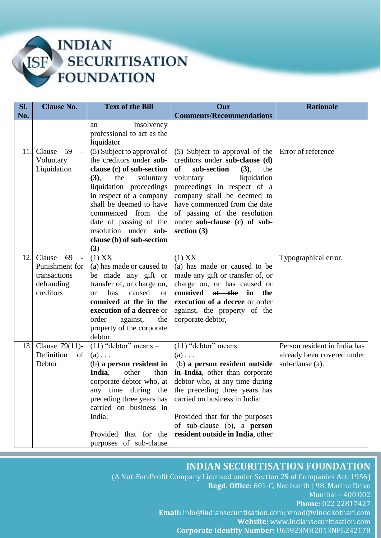

| Sl. | <b>Clause No.</b>                        | <b>Text of the Bill</b>                                | Our                                                                  | <b>Rationale</b>             |
|-----|------------------------------------------|--------------------------------------------------------|----------------------------------------------------------------------|------------------------------|
| No. |                                          |                                                        | <b>Comments/Recommendations</b>                                      |                              |
|     |                                          | insolvency<br>an                                       |                                                                      |                              |
|     |                                          | professional to act as the                             |                                                                      |                              |
|     |                                          | liquidator                                             |                                                                      |                              |
| 11. | 59<br>Clause<br>$\overline{\phantom{m}}$ | (5) Subject to approval of<br>the creditors under sub- | (5) Subject to approval of the<br>creditors under sub-clause (d)     | Error of reference           |
|     | Voluntary<br>Liquidation                 | clause (c) of sub-section                              | sub-section<br>of<br>(3),<br>the                                     |                              |
|     |                                          | (3),<br>the<br>voluntary                               | liquidation<br>voluntary                                             |                              |
|     |                                          | liquidation proceedings                                | proceedings in respect of a                                          |                              |
|     |                                          | in respect of a company                                | company shall be deemed to                                           |                              |
|     |                                          | shall be deemed to have                                | have commenced from the date                                         |                              |
|     |                                          | commenced from<br>the                                  | of passing of the resolution                                         |                              |
|     |                                          | date of passing of the                                 | under sub-clause (c) of sub-                                         |                              |
|     |                                          | resolution under sub-                                  | section $(3)$                                                        |                              |
|     |                                          | clause (b) of sub-section                              |                                                                      |                              |
|     |                                          | (3)                                                    |                                                                      |                              |
| 12. | 69<br>Clause<br>$\sim$ $-$               | $(1)$ XX                                               | $(1)$ XX                                                             | Typographical error.         |
|     | Punishment for                           | (a) has made or caused to                              | (a) has made or caused to be                                         |                              |
|     | transactions                             | be made any gift or                                    | made any gift or transfer of, or                                     |                              |
|     | defrauding<br>creditors                  | transfer of, or charge on,<br>has<br>caused            | charge on, or has caused or<br>connived at the in<br>the             |                              |
|     |                                          | <b>or</b><br><sub>or</sub><br>connived at the in the   | execution of a decree or order                                       |                              |
|     |                                          | execution of a decree or                               | against, the property of the                                         |                              |
|     |                                          | order<br>against,<br>the                               | corporate debtor,                                                    |                              |
|     |                                          | property of the corporate                              |                                                                      |                              |
|     |                                          | debtor,                                                |                                                                      |                              |
| 13. | Clause $79(11)$ -                        | $(11)$ "debtor" means -                                | $\overline{(11)}$ "debtor" means                                     | Person resident in India has |
|     | Definition<br>of                         | $(a) \ldots$                                           | $(a) \ldots$                                                         | already been covered under   |
|     | Debtor                                   | (b) a person resident in                               | (b) a person resident outside                                        | sub-clause (a).              |
|     |                                          | India,<br>other<br>than                                | <b>in-India</b> , other than corporate                               |                              |
|     |                                          | corporate debtor who, at                               | debtor who, at any time during                                       |                              |
|     |                                          | any time during the                                    | the preceding three years has                                        |                              |
|     |                                          | preceding three years has                              | carried on business in India:                                        |                              |
|     |                                          | carried on business in<br>India:                       |                                                                      |                              |
|     |                                          |                                                        | Provided that for the purposes<br>of sub-clause (b), a <b>person</b> |                              |
|     |                                          | Provided that for the                                  | resident outside in-India, other                                     |                              |
|     |                                          | purposes of sub-clause                                 |                                                                      |                              |
|     |                                          |                                                        |                                                                      |                              |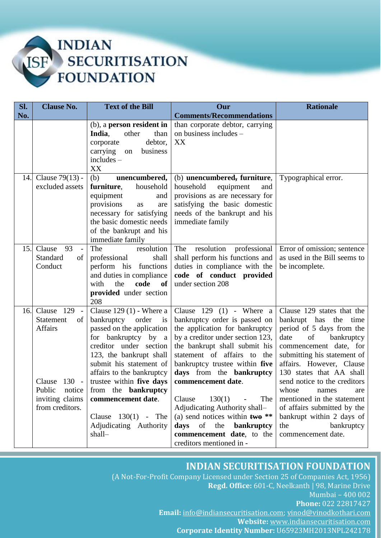

| SI. | <b>Clause No.</b>                                                         | <b>Text of the Bill</b>                                                                                                                                                                                                         | Our                                                                                                                                                                                                                                                                | <b>Rationale</b>                                                                                                                                                                                                              |
|-----|---------------------------------------------------------------------------|---------------------------------------------------------------------------------------------------------------------------------------------------------------------------------------------------------------------------------|--------------------------------------------------------------------------------------------------------------------------------------------------------------------------------------------------------------------------------------------------------------------|-------------------------------------------------------------------------------------------------------------------------------------------------------------------------------------------------------------------------------|
| No. |                                                                           |                                                                                                                                                                                                                                 | <b>Comments/Recommendations</b>                                                                                                                                                                                                                                    |                                                                                                                                                                                                                               |
|     |                                                                           | (b), a person resident in<br>India,<br>other<br>than<br>debtor,<br>corporate<br>carrying<br>business<br>on<br>$includes -$<br>XX                                                                                                | than corporate debtor, carrying<br>on business includes -<br>XX                                                                                                                                                                                                    |                                                                                                                                                                                                                               |
| 14. | Clause 79(13) -<br>excluded assets                                        | (b)<br>unencumbered,<br>furniture,<br>household<br>equipment<br>and<br>provisions<br>as<br>are<br>necessary for satisfying                                                                                                      | (b) unencumbered, furniture,<br>household<br>equipment<br>and<br>provisions as are necessary for<br>satisfying the basic domestic<br>needs of the bankrupt and his                                                                                                 | Typographical error.                                                                                                                                                                                                          |
| 15. | Clause<br>93                                                              | the basic domestic needs<br>of the bankrupt and his<br>immediate family<br>The<br>resolution                                                                                                                                    | immediate family<br>resolution<br>The<br>professional                                                                                                                                                                                                              | Error of omission; sentence                                                                                                                                                                                                   |
|     | $\overline{\phantom{a}}$<br>Standard<br>of<br>Conduct                     | professional<br>shall<br>perform his functions<br>and duties in compliance<br>code<br>the<br>of<br>with<br>provided under section<br>208                                                                                        | shall perform his functions and<br>duties in compliance with the<br>code of conduct provided<br>under section 208                                                                                                                                                  | as used in the Bill seems to<br>be incomplete.                                                                                                                                                                                |
| 16. | Clause $129 -$<br><b>Statement</b><br>of<br><b>Affairs</b>                | Clause $129(1)$ - Where a<br>bankruptcy order<br>$\frac{1}{1}$<br>passed on the application<br>for bankruptcy by a<br>creditor under section<br>123, the bankrupt shall<br>submit his statement of<br>affairs to the bankruptcy | Clause $129$ (1) - Where a<br>bankruptcy order is passed on<br>the application for bankruptcy<br>by a creditor under section 123,<br>the bankrupt shall submit his<br>statement of affairs to<br>the<br>bankruptcy trustee within five<br>days from the bankruptcy | Clause 129 states that the<br>bankrupt has the time<br>period of 5 days from the<br>date<br>of<br>bankruptcy<br>commencement date, for<br>submitting his statement of<br>affairs. However, Clause<br>130 states that AA shall |
|     | 130 -<br>Clause<br>Public<br>notice<br>inviting claims<br>from creditors. | trustee within five days<br>from the <b>bankruptcy</b><br>commencement date.<br>Clause $130(1)$ - The<br>Adjudicating Authority<br>shall-                                                                                       | commencement date.<br>130(1)<br>The<br>Clause<br>$\overline{\phantom{a}}$<br>Adjudicating Authority shall-<br>(a) send notices within $two$ **<br>days<br>the<br>bankruptcy<br>of<br>commencement date, to the<br>creditors mentioned in -                         | send notice to the creditors<br>whose<br>names<br>are<br>mentioned in the statement<br>of affairs submitted by the<br>bankrupt within 2 days of<br>the<br>bankruptcy<br>commencement date.                                    |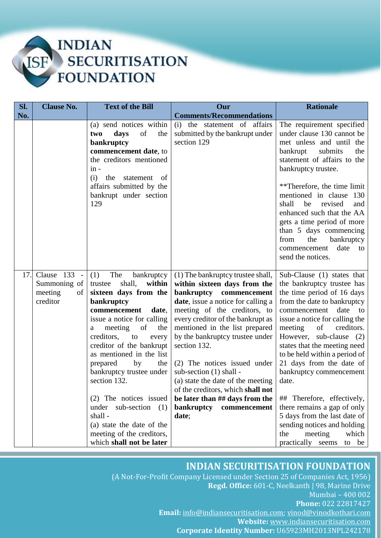

| SI. | <b>Clause No.</b>                                                     | <b>Text of the Bill</b>                                                                                                                                                                                                                                                                                                                                                                                                                                                                              | Our                                                                                                                                                                                                                                                                                                                                                                                                                                                                                                                | <b>Rationale</b>                                                                                                                                                                                                                                                                                                                                                                                                                                                                                                                                                         |
|-----|-----------------------------------------------------------------------|------------------------------------------------------------------------------------------------------------------------------------------------------------------------------------------------------------------------------------------------------------------------------------------------------------------------------------------------------------------------------------------------------------------------------------------------------------------------------------------------------|--------------------------------------------------------------------------------------------------------------------------------------------------------------------------------------------------------------------------------------------------------------------------------------------------------------------------------------------------------------------------------------------------------------------------------------------------------------------------------------------------------------------|--------------------------------------------------------------------------------------------------------------------------------------------------------------------------------------------------------------------------------------------------------------------------------------------------------------------------------------------------------------------------------------------------------------------------------------------------------------------------------------------------------------------------------------------------------------------------|
| No. |                                                                       |                                                                                                                                                                                                                                                                                                                                                                                                                                                                                                      | <b>Comments/Recommendations</b>                                                                                                                                                                                                                                                                                                                                                                                                                                                                                    |                                                                                                                                                                                                                                                                                                                                                                                                                                                                                                                                                                          |
|     |                                                                       | (a) send notices within<br>days<br>of<br>the<br>two<br>bankruptcy<br>commencement date, to<br>the creditors mentioned<br>$in -$<br>(i)<br>the<br>statement of<br>affairs submitted by the<br>bankrupt under section<br>129                                                                                                                                                                                                                                                                           | (i) the statement of affairs<br>submitted by the bankrupt under<br>section 129                                                                                                                                                                                                                                                                                                                                                                                                                                     | The requirement specified<br>under clause 130 cannot be<br>met unless and until the<br>bankrupt<br>submits<br>the<br>statement of affairs to the<br>bankruptcy trustee.<br>**Therefore, the time limit<br>mentioned in clause 130<br>shall<br>be<br>revised<br>and<br>enhanced such that the AA<br>gets a time period of more<br>than 5 days commencing<br>the<br>bankruptcy<br>from<br>date<br>commencement<br>to<br>send the notices.                                                                                                                                  |
| 17. | Clause 133<br>$\sim$ $-$<br>Summoning of<br>meeting<br>of<br>creditor | (1)<br>The<br>bankruptcy<br>within<br>shall,<br>trustee<br>sixteen days from the<br>bankruptcy<br>commencement<br>date,<br>issue a notice for calling<br>meeting<br>of<br>the<br>a<br>creditors,<br>to<br>every<br>creditor of the bankrupt<br>as mentioned in the list<br>prepared<br>by<br>the<br>bankruptcy trustee under<br>section 132.<br>(2) The notices issued<br>sub-section $(1)$<br>under<br>shall-<br>(a) state the date of the<br>meeting of the creditors,<br>which shall not be later | (1) The bankruptcy trustee shall,<br>within sixteen days from the<br>bankruptcy commencement<br><b>date</b> , issue a notice for calling a<br>meeting of the creditors, to<br>every creditor of the bankrupt as<br>mentioned in the list prepared<br>by the bankruptcy trustee under<br>section 132.<br>(2) The notices issued under<br>sub-section (1) shall -<br>(a) state the date of the meeting<br>of the creditors, which shall not<br>be later than ## days from the<br>bankruptcy<br>commencement<br>date; | Sub-Clause (1) states that<br>the bankruptcy trustee has<br>the time period of 16 days<br>from the date to bankruptcy<br>commencement<br>date<br>to<br>issue a notice for calling the<br>meeting<br>of<br>creditors.<br>However, sub-clause (2)<br>states that the meeting need<br>to be held within a period of<br>21 days from the date of<br>bankruptcy commencement<br>date.<br>## Therefore, effectively,<br>there remains a gap of only<br>5 days from the last date of<br>sending notices and holding<br>meeting<br>the<br>which<br>practically<br>seems<br>to be |